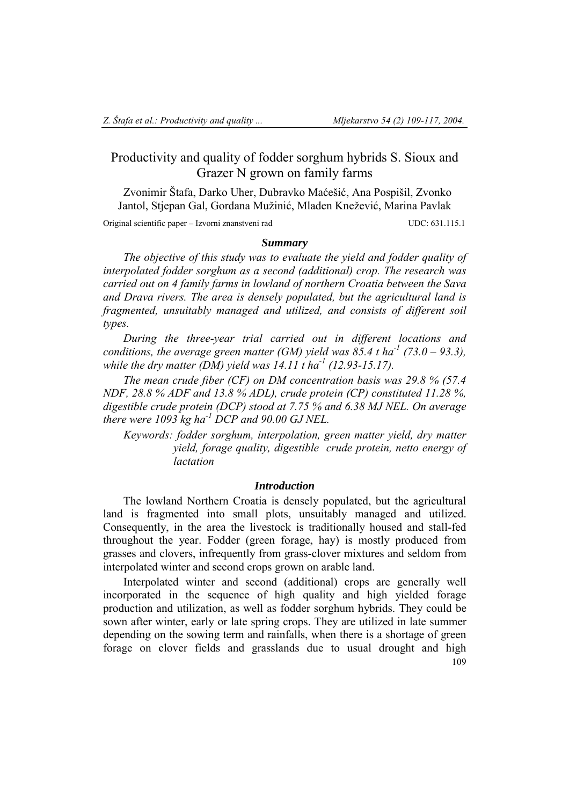# Productivity and quality of fodder sorghum hybrids S. Sioux and Grazer N grown on family farms

 Zvonimir Štafa, Darko Uher, Dubravko Maćešić, Ana Pospišil, Zvonko Jantol, Stjepan Gal, Gordana Mužinić, Mladen Knežević, Marina Pavlak

Original scientific paper – Izvorni znanstveni rad UDC: 631.115.1

### *Summary*

*The objective of this study was to evaluate the yield and fodder quality of interpolated fodder sorghum as a second (additional) crop. The research was carried out on 4 family farms in lowland of northern Croatia between the Sava and Drava rivers. The area is densely populated, but the agricultural land is fragmented, unsuitably managed and utilized, and consists of different soil types.* 

*During the three-year trial carried out in different locations and conditions, the average green matter (GM) yield was 85.4 t ha*<sup>-1</sup> (73.0 – 93.3). *while the dry matter (DM) yield was 14.11 t ha-1 (12.93-15.17).* 

*The mean crude fiber (CF) on DM concentration basis was 29.8 % (57.4 NDF, 28.8 % ADF and 13.8 % ADL), crude protein (CP) constituted 11.28 %, digestible crude protein (DCP) stood at 7.75 % and 6.38 MJ NEL. On average there were 1093 kg ha-1 DCP and 90.00 GJ NEL.* 

*Keywords: fodder sorghum, interpolation, green matter yield, dry matter yield, forage quality, digestible crude protein, netto energy of lactation* 

### *Introduction*

The lowland Northern Croatia is densely populated, but the agricultural land is fragmented into small plots, unsuitably managed and utilized. Consequently, in the area the livestock is traditionally housed and stall-fed throughout the year. Fodder (green forage, hay) is mostly produced from grasses and clovers, infrequently from grass-clover mixtures and seldom from interpolated winter and second crops grown on arable land.

109 Interpolated winter and second (additional) crops are generally well incorporated in the sequence of high quality and high yielded forage production and utilization, as well as fodder sorghum hybrids. They could be sown after winter, early or late spring crops. They are utilized in late summer depending on the sowing term and rainfalls, when there is a shortage of green forage on clover fields and grasslands due to usual drought and high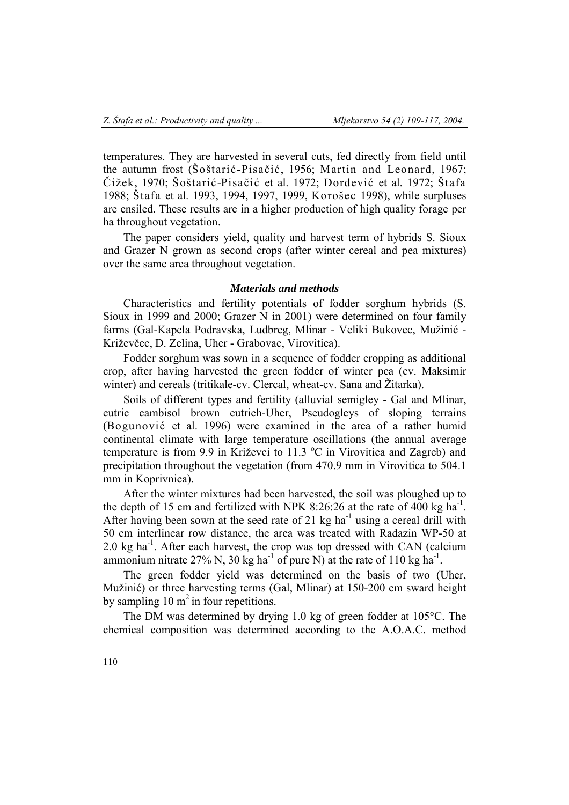temperatures. They are harvested in several cuts, fed directly from field until the autumn frost (Šoštarić-Pisačić, 1956; Martin and Leonard, 1967; Čižek, 1970; Šoštarić-Pisačić et al. 1972; Đorđević et al. 1972; Štafa 1988; Štafa et al. 1993, 1994, 1997, 1999, Korošec 1998), while surpluses are ensiled. These results are in a higher production of high quality forage per ha throughout vegetation.

The paper considers yield, quality and harvest term of hybrids S. Sioux and Grazer N grown as second crops (after winter cereal and pea mixtures) over the same area throughout vegetation.

### *Materials and methods*

Characteristics and fertility potentials of fodder sorghum hybrids (S. Sioux in 1999 and 2000; Grazer N in 2001) were determined on four family farms (Gal-Kapela Podravska, Ludbreg, Mlinar - Veliki Bukovec, Mužinić - Križevčec, D. Zelina, Uher - Grabovac, Virovitica).

Fodder sorghum was sown in a sequence of fodder cropping as additional crop, after having harvested the green fodder of winter pea (cv. Maksimir winter) and cereals (tritikale-cv. Clercal, wheat-cv. Sana and Žitarka).

Soils of different types and fertility (alluvial semigley - Gal and Mlinar, eutric cambisol brown eutrich-Uher, Pseudogleys of sloping terrains (Bogunović et al. 1996) were examined in the area of a rather humid continental climate with large temperature oscillations (the annual average temperature is from 9.9 in Križevci to 11.3 °C in Virovitica and Zagreb) and precipitation throughout the vegetation (from 470.9 mm in Virovitica to 504.1 mm in Koprivnica).

After the winter mixtures had been harvested, the soil was ploughed up to the depth of 15 cm and fertilized with NPK 8:26:26 at the rate of 400 kg  $\text{ha}^{-1}$ . After having been sown at the seed rate of 21 kg ha<sup>-1</sup> using a cereal drill with 50 cm interlinear row distance, the area was treated with Radazin WP-50 at 2.0 kg ha-1. After each harvest, the crop was top dressed with CAN (calcium ammonium nitrate 27% N, 30 kg ha<sup>-1</sup> of pure N) at the rate of 110 kg ha<sup>-1</sup>.

The green fodder yield was determined on the basis of two (Uher, Mužinić) or three harvesting terms (Gal, Mlinar) at 150-200 cm sward height by sampling  $10 \text{ m}^2$  in four repetitions.

The DM was determined by drying 1.0 kg of green fodder at 105°C. The chemical composition was determined according to the A.O.A.C. method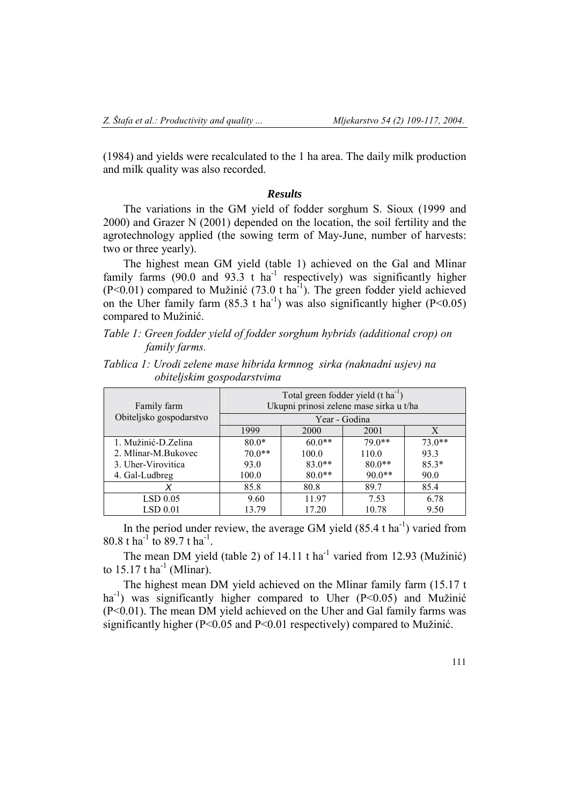LSD 0.05 LSD 0.01

(1984) and yields were recalculated to the 1 ha area. The daily milk production and milk quality was also recorded.

### *Results*

The variations in the GM yield of fodder sorghum S. Sioux (1999 and 2000) and Grazer N (2001) depended on the location, the soil fertility and the agrotechnology applied (the sowing term of May-June, number of harvests: two or three yearly).

The highest mean GM yield (table 1) achieved on the Gal and Mlinar family farms  $(90.0 \text{ and } 93.3 \text{ t ha}^{-1}$  respectively) was significantly higher  $(P<0.01)$  compared to Mužinić (73.0 t ha<sup>-1</sup>). The green fodder yield achieved on the Uher family farm  $(85.3 \text{ t} \text{ ha}^{-1})$  was also significantly higher  $(P<0.05)$ compared to Mužinić.

# *Table 1: Green fodder yield of fodder sorghum hybrids (additional crop) on family farms.*

| obiteljskim gospodarstvima |                                                                                           |          |          |          |
|----------------------------|-------------------------------------------------------------------------------------------|----------|----------|----------|
| Family farm                | Total green fodder yield $(t \text{ ha}^{-1})$<br>Ukupni prinosi zelene mase sirka u t/ha |          |          |          |
| Obiteljsko gospodarstvo    | Year - Godina                                                                             |          |          |          |
|                            | 1999                                                                                      | 2000     | 2001     | X        |
| 1. Mužinić-D.Zelina        | $80.0*$                                                                                   | $60.0**$ | 79.0**   | $73.0**$ |
| 2. Mlinar-M.Bukovec        | $70.0**$                                                                                  | 100.0    | 110.0    | 93.3     |
| 3. Uher-Virovitica         | 93.0                                                                                      | $83.0**$ | $80.0**$ | $85.3*$  |
| 4. Gal-Ludbreg             | 100.0                                                                                     | $80.0**$ | $90.0**$ | 90.0     |

*Tablica 1: Urodi zelene mase hibrida krmnog sirka (naknadni usjev) na* 

In the period under review, the average GM yield  $(85.4 \text{ tha}^{-1})$  varied from 80.8 t ha<sup>-1</sup> to 89.7 t ha<sup>-1</sup>

 9.60 13.79

*X* 85.8 80.8 89.7 85.4

 11.97 17.20

 7.53 10.78

The mean DM yield (table 2) of  $14.11$  t ha<sup>-1</sup> varied from 12.93 (Mužinić) to  $15.17$  t ha<sup>-1</sup> (Mlinar).

The highest mean DM yield achieved on the Mlinar family farm (15.17 t ha<sup>-1</sup>) was significantly higher compared to Uher  $(P< 0.05)$  and Mužinić (P<0.01). The mean DM yield achieved on the Uher and Gal family farms was significantly higher (P<0.05 and P<0.01 respectively) compared to Mužinić.

 6.78 9.50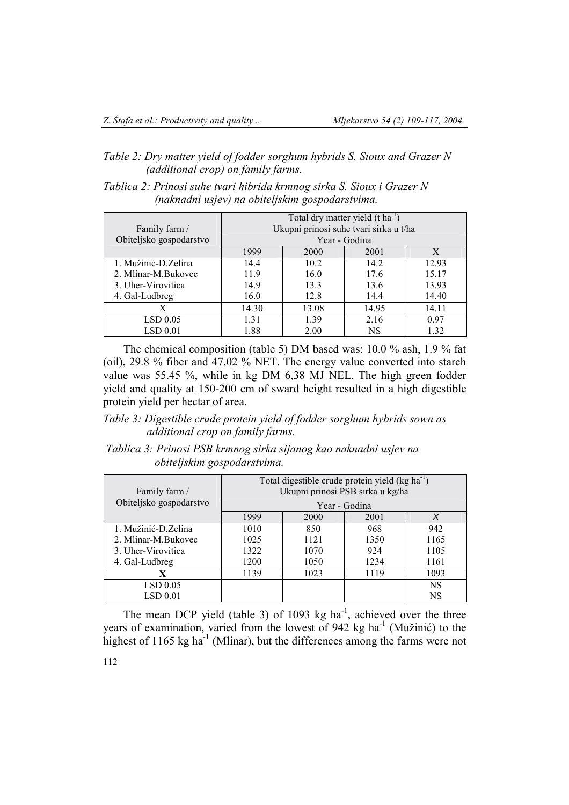# *Table 2: Dry matter yield of fodder sorghum hybrids S. Sioux and Grazer N (additional crop) on family farms.*

| Tablica 2: Prinosi suhe tvari hibrida krmnog sirka S. Sioux i Grazer N |  |
|------------------------------------------------------------------------|--|
| (naknadni usjev) na obiteljskim gospodarstvima.                        |  |

|                         | Total dry matter yield $(t \text{ ha}^{-1})$ |       |       |       |
|-------------------------|----------------------------------------------|-------|-------|-------|
| Family farm /           | Ukupni prinosi suhe tvari sirka u t/ha       |       |       |       |
| Obiteljsko gospodarstvo | Year - Godina                                |       |       |       |
|                         | 1999                                         | 2000  | 2001  | X     |
| 1. Mužinić-D. Zelina    | 14.4                                         | 10.2  | 14.2  | 12.93 |
| 2. Mlinar-M.Bukovec     | 11.9                                         | 16.0  | 17.6  | 15.17 |
| 3. Uher-Virovitica      | 14.9                                         | 13.3  | 13.6  | 13.93 |
| 4. Gal-Ludbreg          | 16.0                                         | 12.8  | 14.4  | 14.40 |
| X                       | 14.30                                        | 13.08 | 14.95 | 14.11 |
| LSD 0.05                | 1.31                                         | 1.39  | 2.16  | 0.97  |
| LSD 0.01                | 1.88                                         | 2.00  | NS    | 1.32  |

The chemical composition (table 5) DM based was: 10.0 % ash, 1.9 % fat (oil), 29.8 % fiber and 47,02 % NET. The energy value converted into starch value was 55.45 %, while in kg DM 6,38 MJ NEL. The high green fodder yield and quality at 150-200 cm of sward height resulted in a high digestible protein yield per hectar of area.

*Table 3: Digestible crude protein yield of fodder sorghum hybrids sown as additional crop on family farms.* 

# *Tablica 3: Prinosi PSB krmnog sirka sijanog kao naknadni usjev na obiteljskim gospodarstvima.*

| Family farm /           | Total digestible crude protein yield (kg ha <sup>-1</sup> )<br>Ukupni prinosi PSB sirka u kg/ha<br>Year - Godina |      |      |           |
|-------------------------|------------------------------------------------------------------------------------------------------------------|------|------|-----------|
| Obiteljsko gospodarstvo |                                                                                                                  |      |      |           |
|                         | 1999                                                                                                             | 2000 | 2001 | X         |
| 1. Mužinić-D. Zelina    | 1010                                                                                                             | 850  | 968  | 942       |
| 2. Mlinar-M.Bukovec     | 1025                                                                                                             | 1121 | 1350 | 1165      |
| 3. Uher-Virovitica      | 1322                                                                                                             | 1070 | 924  | 1105      |
| 4. Gal-Ludbreg          | 1200                                                                                                             | 1050 | 1234 | 1161      |
| X                       | 1139                                                                                                             | 1023 | 1119 | 1093      |
| LSD 0.05                |                                                                                                                  |      |      | <b>NS</b> |
| LSD 0.01                |                                                                                                                  |      |      | NS        |

The mean DCP yield (table 3) of 1093 kg ha<sup>-1</sup>, achieved over the three years of examination, varied from the lowest of 942 kg ha<sup>-1</sup> (Mužinić) to the highest of 1165 kg ha<sup>-1</sup> (Mlinar), but the differences among the farms were not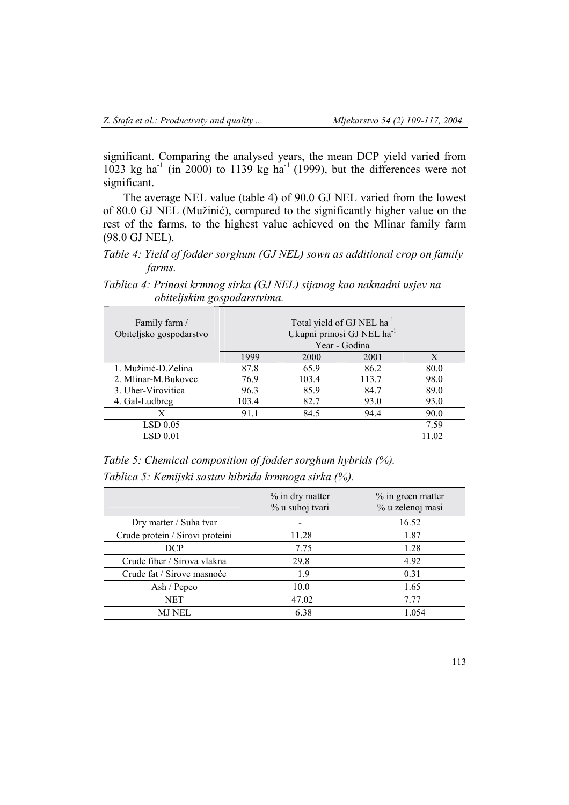significant. Comparing the analysed years, the mean DCP yield varied from 1023 kg ha<sup>-1</sup> (in 2000) to 1139 kg ha<sup>-1</sup> (1999), but the differences were not significant.

The average NEL value (table 4) of 90.0 GJ NEL varied from the lowest of 80.0 GJ NEL (Mužinić), compared to the significantly higher value on the rest of the farms, to the highest value achieved on the Mlinar family farm (98.0 GJ NEL).

*Table 4: Yield of fodder sorghum (GJ NEL) sown as additional crop on family farms.* 

*Tablica 4: Prinosi krmnog sirka (GJ NEL) sijanog kao naknadni usjev na obiteljskim gospodarstvima.*

| Family farm /<br>Obiteljsko gospodarstvo | Total yield of GJ NEL ha <sup>-1</sup><br>Ukupni prinosi GJ NEL ha <sup>-1</sup><br>Year - Godina |       |       |       |
|------------------------------------------|---------------------------------------------------------------------------------------------------|-------|-------|-------|
|                                          | 1999                                                                                              | 2000  | 2001  | X     |
| 1. Mužinić-D. Zelina                     | 87.8                                                                                              | 65.9  | 86.2  | 80.0  |
| 2. Mlinar-M.Bukovec                      | 76.9                                                                                              | 103.4 | 113.7 | 98.0  |
| 3. Uher-Virovitica                       | 96.3                                                                                              | 85.9  | 84.7  | 89.0  |
| 4. Gal-Ludbreg                           | 103.4                                                                                             | 82.7  | 93.0  | 93.0  |
| X                                        | 91.1                                                                                              | 84.5  | 94.4  | 90.0  |
| LSD 0.05                                 |                                                                                                   |       |       | 7.59  |
| LSD 0.01                                 |                                                                                                   |       |       | 11.02 |

*Table 5: Chemical composition of fodder sorghum hybrids (%).* 

*Tablica 5: Kemijski sastav hibrida krmnoga sirka (%).* 

|                                 | % in dry matter<br>% u suhoj tvari | % in green matter<br>% u zelenoj masi |
|---------------------------------|------------------------------------|---------------------------------------|
| Dry matter / Suha tvar          |                                    | 16.52                                 |
| Crude protein / Sirovi proteini | 11.28                              | 1.87                                  |
| <b>DCP</b>                      | 7.75                               | 1.28                                  |
| Crude fiber / Sirova vlakna     | 29.8                               | 4.92                                  |
| Crude fat / Sirove masnoće      | 1.9                                | 0.31                                  |
| Ash / Pepeo                     | 10.0                               | 1.65                                  |
| NET.                            | 47.02                              | 7.77                                  |
| MJ NEL                          | 6.38                               | 1.054                                 |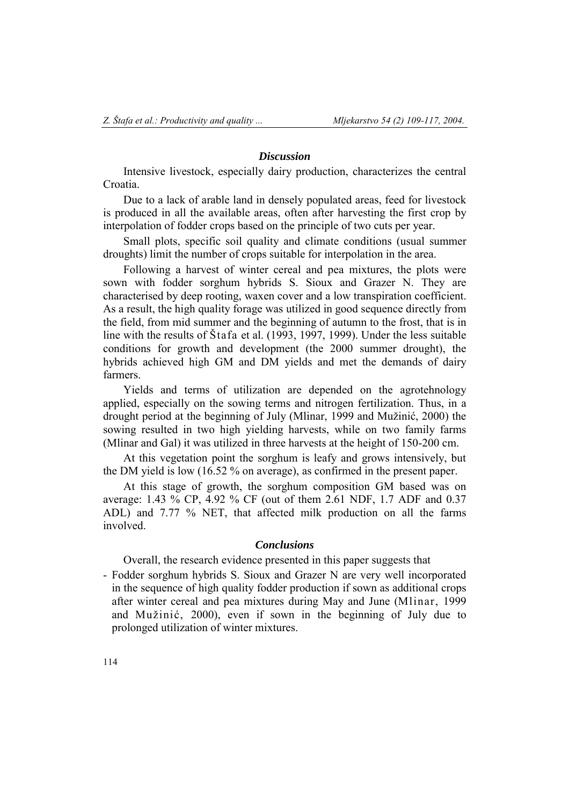### *Discussion*

Intensive livestock, especially dairy production, characterizes the central Croatia.

Due to a lack of arable land in densely populated areas, feed for livestock is produced in all the available areas, often after harvesting the first crop by interpolation of fodder crops based on the principle of two cuts per year.

Small plots, specific soil quality and climate conditions (usual summer droughts) limit the number of crops suitable for interpolation in the area.

Following a harvest of winter cereal and pea mixtures, the plots were sown with fodder sorghum hybrids S. Sioux and Grazer N. They are characterised by deep rooting, waxen cover and a low transpiration coefficient. As a result, the high quality forage was utilized in good sequence directly from the field, from mid summer and the beginning of autumn to the frost, that is in line with the results of Štafa et al. (1993, 1997, 1999). Under the less suitable conditions for growth and development (the 2000 summer drought), the hybrids achieved high GM and DM yields and met the demands of dairy farmers.

Yields and terms of utilization are depended on the agrotehnology applied, especially on the sowing terms and nitrogen fertilization. Thus, in a drought period at the beginning of July (Mlinar, 1999 and Mužinić, 2000) the sowing resulted in two high yielding harvests, while on two family farms (Mlinar and Gal) it was utilized in three harvests at the height of 150-200 cm.

At this vegetation point the sorghum is leafy and grows intensively, but the DM yield is low (16.52 % on average), as confirmed in the present paper.

At this stage of growth, the sorghum composition GM based was on average: 1.43 % CP, 4.92 % CF (out of them 2.61 NDF, 1.7 ADF and 0.37 ADL) and 7.77 % NET, that affected milk production on all the farms involved.

### *Conclusions*

Overall, the research evidence presented in this paper suggests that

- Fodder sorghum hybrids S. Sioux and Grazer N are very well incorporated in the sequence of high quality fodder production if sown as additional crops after winter cereal and pea mixtures during May and June (Mlinar, 1999 and Mužinić, 2000), even if sown in the beginning of July due to prolonged utilization of winter mixtures.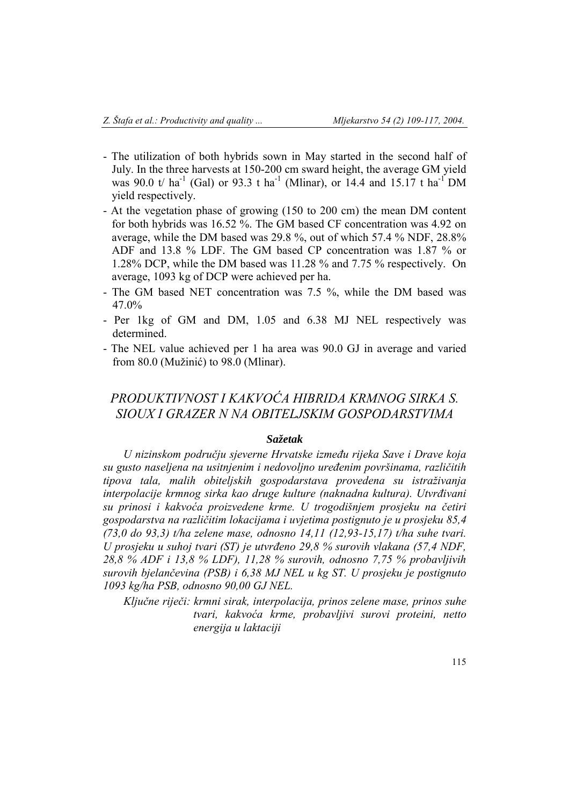- The utilization of both hybrids sown in May started in the second half of July. In the three harvests at 150-200 cm sward height, the average GM yield was 90.0 t/ ha<sup>-1</sup> (Gal) or 93.3 t ha<sup>-1</sup> (Mlinar), or 14.4 and 15.17 t ha<sup>-1</sup> DM yield respectively.
- At the vegetation phase of growing (150 to 200 cm) the mean DM content for both hybrids was 16.52 %. The GM based CF concentration was 4.92 on average, while the DM based was 29.8 %, out of which 57.4 % NDF, 28.8% ADF and 13.8 % LDF. The GM based CP concentration was 1.87 % or 1.28% DCP, while the DM based was 11.28 % and 7.75 % respectively. On average, 1093 kg of DCP were achieved per ha.
- The GM based NET concentration was 7.5 %, while the DM based was 47.0%
- Per 1kg of GM and DM, 1.05 and 6.38 MJ NEL respectively was determined.
- The NEL value achieved per 1 ha area was 90.0 GJ in average and varied from 80.0 (Mužinić) to 98.0 (Mlinar).

# *PRODUKTIVNOST I KAKVOĆA HIBRIDA KRMNOG SIRKA S. SIOUX I GRAZER N NA OBITELJSKIM GOSPODARSTVIMA*

## *Sažetak*

*U nizinskom području sjeverne Hrvatske između rijeka Save i Drave koja su gusto naseljena na usitnjenim i nedovoljno uređenim površinama, različitih tipova tala, malih obiteljskih gospodarstava provedena su istraživanja interpolacije krmnog sirka kao druge kulture (naknadna kultura). Utvrđivani su prinosi i kakvoća proizvedene krme. U trogodišnjem prosjeku na četiri gospodarstva na različitim lokacijama i uvjetima postignuto je u prosjeku 85,4 (73,0 do 93,3) t/ha zelene mase, odnosno 14,11 (12,93-15,17) t/ha suhe tvari. U prosjeku u suhoj tvari (ST) je utvrđeno 29,8 % surovih vlakana (57,4 NDF, 28,8 % ADF i 13,8 % LDF), 11,28 % surovih, odnosno 7,75 % probavljivih surovih bjelančevina (PSB) i 6,38 MJ NEL u kg ST. U prosjeku je postignuto 1093 kg/ha PSB, odnosno 90,00 GJ NEL.* 

*Ključne riječi: krmni sirak, interpolacija, prinos zelene mase, prinos suhe tvari, kakvoća krme, probavljivi surovi proteini, netto energija u laktaciji*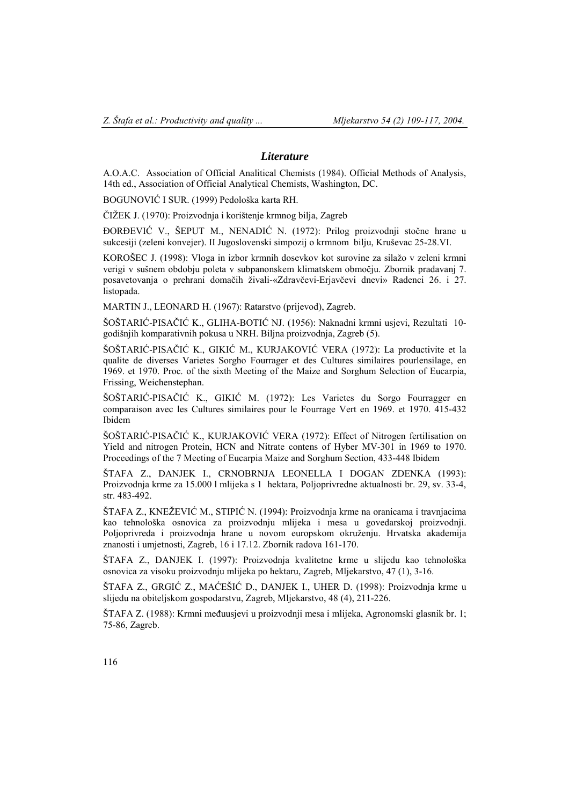### *Literature*

A.O.A.C. Association of Official Analitical Chemists (1984). Official Methods of Analysis, 14th ed., Association of Official Analytical Chemists, Washington, DC.

BOGUNOVIĆ I SUR. (1999) Pedološka karta RH.

ČIŽEK J. (1970): Proizvodnja i korištenje krmnog bilja, Zagreb

ĐORĐEVIĆ V., ŠEPUT M., NENADIĆ N. (1972): Prilog proizvodnji stočne hrane u sukcesiji (zeleni konvejer). II Jugoslovenski simpozij o krmnom bilju, Kruševac 25-28.VI.

KOROŠEC J. (1998): Vloga in izbor krmnih dosevkov kot surovine za silažo v zeleni krmni verigi v sušnem obdobju poleta v subpanonskem klimatskem območju. Zbornik pradavanj 7. posavetovanja o prehrani domačih živali-«Zdravčevi-Erjavčevi dnevi» Radenci 26. i 27. listopada.

MARTIN J., LEONARD H. (1967): Ratarstvo (prijevod), Zagreb.

ŠOŠTARIĆ-PISAČIĆ K., GLIHA-BOTIĆ NJ. (1956): Naknadni krmni usjevi, Rezultati 10 godišnjih komparativnih pokusa u NRH. Biljna proizvodnja, Zagreb (5).

ŠOŠTARIĆ-PISAČIĆ K., GIKIĆ M., KURJAKOVIĆ VERA (1972): La productivite et la qualite de diverses Varietes Sorgho Fourrager et des Cultures similaires pourlensilage, en 1969. et 1970. Proc. of the sixth Meeting of the Maize and Sorghum Selection of Eucarpia, Frissing, Weichenstephan.

ŠOŠTARIĆ-PISAČIĆ K., GIKIĆ M. (1972): Les Varietes du Sorgo Fourragger en comparaison avec les Cultures similaires pour le Fourrage Vert en 1969. et 1970. 415-432 Ibidem

ŠOŠTARIĆ-PISAČIĆ K., KURJAKOVIĆ VERA (1972): Effect of Nitrogen fertilisation on Yield and nitrogen Protein, HCN and Nitrate contens of Hyber MV-301 in 1969 to 1970. Proceedings of the 7 Meeting of Eucarpia Maize and Sorghum Section, 433-448 Ibidem

ŠTAFA Z., DANJEK I., CRNOBRNJA LEONELLA I DOGAN ZDENKA (1993): Proizvodnja krme za 15.000 l mlijeka s 1 hektara, Poljoprivredne aktualnosti br. 29, sv. 33-4, str. 483-492.

ŠTAFA Z., KNEŽEVIĆ M., STIPIĆ N. (1994): Proizvodnja krme na oranicama i travnjacima kao tehnološka osnovica za proizvodnju mlijeka i mesa u govedarskoj proizvodnji. Poljoprivreda i proizvodnja hrane u novom europskom okruženju. Hrvatska akademija znanosti i umjetnosti, Zagreb, 16 i 17.12. Zbornik radova 161-170.

ŠTAFA Z., DANJEK I. (1997): Proizvodnja kvalitetne krme u slijedu kao tehnološka osnovica za visoku proizvodnju mlijeka po hektaru, Zagreb, Mljekarstvo, 47 (1), 3-16.

ŠTAFA Z., GRGIĆ Z., MAĆEŠIĆ D., DANJEK I., UHER D. (1998): Proizvodnja krme u slijedu na obiteljskom gospodarstvu, Zagreb, Mljekarstvo, 48 (4), 211-226.

ŠTAFA Z. (1988): Krmni međuusjevi u proizvodnji mesa i mlijeka, Agronomski glasnik br. 1; 75-86, Zagreb.